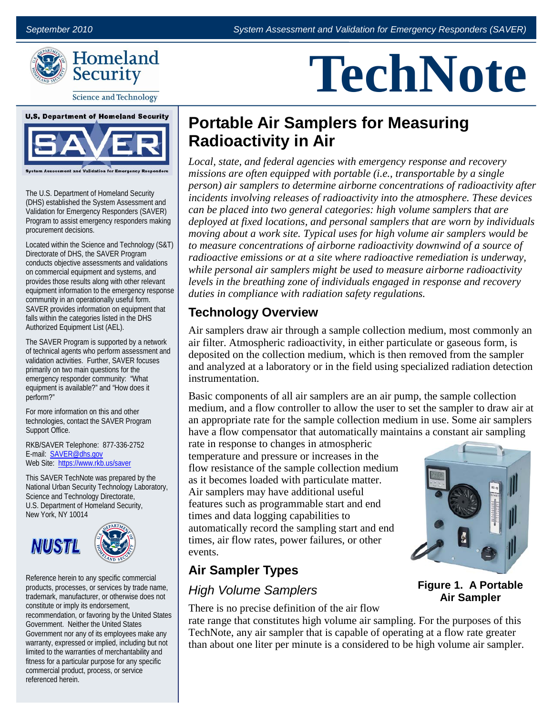**TechNote**



**Science and Technology** 



The U.S. Department of Homeland Security (DHS) established the System Assessment and Validation for Emergency Responders (SAVER) Program to assist emergency responders making procurement decisions.

Located within the Science and Technology (S&T) Directorate of DHS, the SAVER Program conducts objective assessments and validations on commercial equipment and systems, and provides those results along with other relevant equipment information to the emergency response community in an operationally useful form. SAVER provides information on equipment that falls within the categories listed in the DHS Authorized Equipment List (AEL).

The SAVER Program is supported by a network of technical agents who perform assessment and validation activities. Further, SAVER focuses primarily on two main questions for the emergency responder community: "What equipment is available?" and "How does it perform?"

For more information on this and other technologies, contact the SAVER Program Support Office.

RKB/SAVER Telephone: 877-336-2752 E-mail: [SAVER@dhs.gov](mailto:SAVER@dhs.gov) Web Site:<https://www.rkb.us/saver>

This SAVER TechNote was prepared by the National Urban Security Technology Laboratory, Science and Technology Directorate, U.S. Department of Homeland Security, New York, NY 10014





Reference herein to any specific commercial products, processes, or services by trade name, trademark, manufacturer, or otherwise does not constitute or imply its endorsement, recommendation, or favoring by the United States Government. Neither the United States Government nor any of its employees make any warranty, expressed or implied, including but not limited to the warranties of merchantability and fitness for a particular purpose for any specific commercial product, process, or service referenced herein.

# **Portable Air Samplers for Measuring Radioactivity in Air**

*Local, state, and federal agencies with emergency response and recovery missions are often equipped with portable (i.e., transportable by a single person) air samplers to determine airborne concentrations of radioactivity after incidents involving releases of radioactivity into the atmosphere. These devices can be placed into two general categories: high volume samplers that are deployed at fixed locations, and personal samplers that are worn by individuals moving about a work site. Typical uses for high volume air samplers would be to measure concentrations of airborne radioactivity downwind of a source of radioactive emissions or at a site where radioactive remediation is underway, while personal air samplers might be used to measure airborne radioactivity levels in the breathing zone of individuals engaged in response and recovery duties in compliance with radiation safety regulations.* 

## **Technology Overview**

Air samplers draw air through a sample collection medium, most commonly an air filter. Atmospheric radioactivity, in either particulate or gaseous form, is deposited on the collection medium, which is then removed from the sampler and analyzed at a laboratory or in the field using specialized radiation detection instrumentation.

Basic components of all air samplers are an air pump, the sample collection medium, and a flow controller to allow the user to set the sampler to draw air at an appropriate rate for the sample collection medium in use. Some air samplers have a flow compensator that automatically maintains a constant air sampling

rate in response to changes in atmospheric temperature and pressure or increases in the flow resistance of the sample collection medium as it becomes loaded with particulate matter. Air samplers may have additional useful features such as programmable start and end times and data logging capabilities to automatically record the sampling start and end times, air flow rates, power failures, or other events.

**Figure 1. A Portable Air Sampler**

## **Air Sampler Types**

#### *High Volume Samplers*

There is no precise definition of the air flow

rate range that constitutes high volume air sampling. For the purposes of this TechNote, any air sampler that is capable of operating at a flow rate greater than about one liter per minute is a considered to be high volume air sampler.